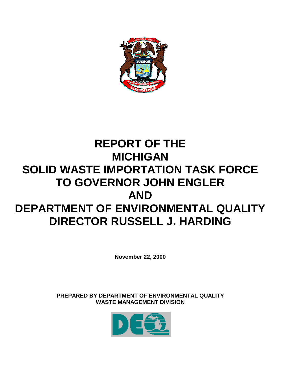

# **REPORT OF THE MICHIGAN SOLID WASTE IMPORTATION TASK FORCE TO GOVERNOR JOHN ENGLER AND DEPARTMENT OF ENVIRONMENTAL QUALITY DIRECTOR RUSSELL J. HARDING**

**November 22, 2000**

**PREPARED BY DEPARTMENT OF ENVIRONMENTAL QUALITY WASTE MANAGEMENT DIVISION**

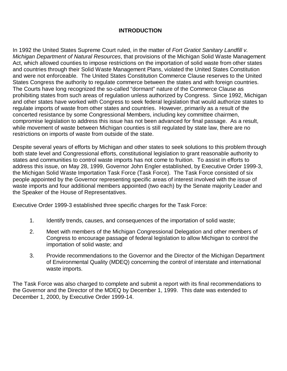## **INTRODUCTION**

In 1992 the United States Supreme Court ruled, in the matter of *Fort Gratiot Sanitary Landfill v. Michigan Department of Natural Resources*, that provisions of the Michigan Solid Waste Management Act, which allowed counties to impose restrictions on the importation of solid waste from other states and countries through their Solid Waste Management Plans, violated the United States Constitution and were not enforceable. The United States Constitution Commerce Clause reserves to the United States Congress the authority to regulate commerce between the states and with foreign countries. The Courts have long recognized the so-called "dormant" nature of the Commerce Clause as prohibiting states from such areas of regulation unless authorized by Congress. Since 1992, Michigan and other states have worked with Congress to seek federal legislation that would authorize states to regulate imports of waste from other states and countries. However, primarily as a result of the concerted resistance by some Congressional Members, including key committee chairmen, compromise legislation to address this issue has not been advanced for final passage. As a result, while movement of waste between Michigan counties is still regulated by state law, there are no restrictions on imports of waste from outside of the state.

Despite several years of efforts by Michigan and other states to seek solutions to this problem through both state level and Congressional efforts, constitutional legislation to grant reasonable authority to states and communities to control waste imports has not come to fruition. To assist in efforts to address this issue, on May 28, 1999, Governor John Engler established, by Executive Order 1999-3, the Michigan Solid Waste Importation Task Force (Task Force). The Task Force consisted of six people appointed by the Governor representing specific areas of interest involved with the issue of waste imports and four additional members appointed (two each) by the Senate majority Leader and the Speaker of the House of Representatives.

Executive Order 1999-3 established three specific charges for the Task Force:

- 1. Identify trends, causes, and consequences of the importation of solid waste;
- 2. Meet with members of the Michigan Congressional Delegation and other members of Congress to encourage passage of federal legislation to allow Michigan to control the importation of solid waste; and
- 3. Provide recommendations to the Governor and the Director of the Michigan Department of Environmental Quality (MDEQ) concerning the control of interstate and international waste imports.

The Task Force was also charged to complete and submit a report with its final recommendations to the Governor and the Director of the MDEQ by December 1, 1999. This date was extended to December 1, 2000, by Executive Order 1999-14.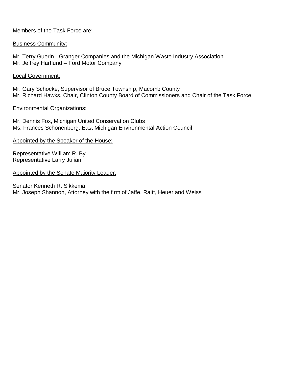Members of the Task Force are:

#### Business Community:

Mr. Terry Guerin - Granger Companies and the Michigan Waste Industry Association Mr. Jeffrey Hartlund – Ford Motor Company

#### Local Government:

Mr. Gary Schocke, Supervisor of Bruce Township, Macomb County Mr. Richard Hawks, Chair, Clinton County Board of Commissioners and Chair of the Task Force

#### Environmental Organizations:

Mr. Dennis Fox, Michigan United Conservation Clubs Ms. Frances Schonenberg, East Michigan Environmental Action Council

#### Appointed by the Speaker of the House:

Representative William R. Byl Representative Larry Julian

#### Appointed by the Senate Majority Leader:

Senator Kenneth R. Sikkema Mr. Joseph Shannon, Attorney with the firm of Jaffe, Raitt, Heuer and Weiss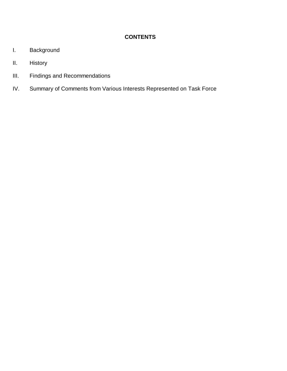# **CONTENTS**

- I. Background
- II. History
- III. Findings and Recommendations
- IV. Summary of Comments from Various Interests Represented on Task Force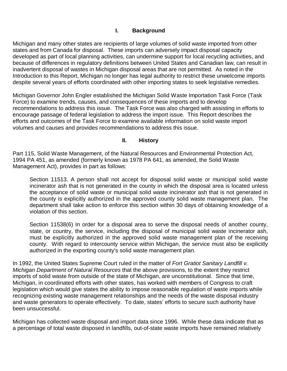## **I. Background**

Michigan and many other states are recipients of large volumes of solid waste imported from other states and from Canada for disposal. These imports can adversely impact disposal capacity developed as part of local planning activities, can undermine support for local recycling activities, and because of differences in regulatory definitions between United States and Canadian law, can result in inadvertent disposal of wastes in Michigan disposal areas that are not permitted. As noted in the Introduction to this Report, Michigan no longer has legal authority to restrict these unwelcome imports despite several years of efforts coordinated with other importing states to seek legislative remedies.

Michigan Governor John Engler established the Michigan Solid Waste Importation Task Force (Task Force) to examine trends, causes, and consequences of these imports and to develop recommendations to address this issue. The Task Force was also charged with assisting in efforts to encourage passage of federal legislation to address the import issue. This Report describes the efforts and outcomes of the Task Force to examine available information on solid waste import volumes and causes and provides recommendations to address this issue.

### **II. History**

Part 115, Solid Waste Management, of the Natural Resources and Environmental Protection Act, 1994 PA 451, as amended (formerly known as 1978 PA 641, as amended, the Solid Waste Management Act), provides in part as follows:

Section 11513. A person shall not accept for disposal solid waste or municipal solid waste incinerator ash that is not generated in the county in which the disposal area is located unless the acceptance of solid waste or municipal solid waste incinerator ash that is not generated in the county is explicitly authorized in the approved county solid waste management plan. The department shall take action to enforce this section within 30 days of obtaining knowledge of a violation of this section.

Section 11538(6) In order for a disposal area to serve the disposal needs of another county, state, or country, the service, including the disposal of municipal solid waste incinerator ash, must be explicitly authorized in the approved solid waste management plan of the receiving county. With regard to intercounty service within Michigan, the service must also be explicitly authorized in the exporting county's solid waste management plan.

In 1992, the United States Supreme Court ruled in the matter of *Fort Gratiot Sanitary Landfill v. Michigan Department of Natural Resources* that the above provisions, to the extent they restrict imports of solid waste from outside of the state of Michigan, are unconstitutional. Since that time, Michigan, in coordinated efforts with other states, has worked with members of Congress to craft legislation which would give states the ability to impose reasonable regulation of waste imports while recognizing existing waste management relationships and the needs of the waste disposal industry and waste generators to operate effectively. To date, states' efforts to secure such authority have been unsuccessful.

Michigan has collected waste disposal and import data since 1996. While these data indicate that as a percentage of total waste disposed in landfills, out-of-state waste imports have remained relatively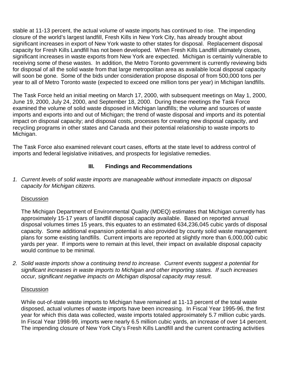stable at 11-13 percent, the actual volume of waste imports has continued to rise. The impending closure of the world's largest landfill, Fresh Kills in New York City, has already brought about significant increases in export of New York waste to other states for disposal. Replacement disposal capacity for Fresh Kills Landfill has not been developed. When Fresh Kills Landfill ultimately closes, significant increases in waste exports from New York are expected. Michigan is certainly vulnerable to receiving some of these wastes. In addition, the Metro Toronto government is currently reviewing bids for disposal of all the solid waste from that large metropolitan area as available local disposal capacity will soon be gone. Some of the bids under consideration propose disposal of from 500,000 tons per year to all of Metro Toronto waste (expected to exceed one million tons per year) in Michigan landfills.

The Task Force held an initial meeting on March 17, 2000, with subsequent meetings on May 1, 2000, June 19, 2000, July 24, 2000, and September 18, 2000. During these meetings the Task Force examined the volume of solid waste disposed in Michigan landfills; the volume and sources of waste imports and exports into and out of Michigan; the trend of waste disposal and imports and its potential impact on disposal capacity; and disposal costs, processes for creating new disposal capacity, and recycling programs in other states and Canada and their potential relationship to waste imports to Michigan.

The Task Force also examined relevant court cases, efforts at the state level to address control of imports and federal legislative initiatives, and prospects for legislative remedies.

## **III. Findings and Recommendations**

*1. Current levels of solid waste imports are manageable without immediate impacts on disposal capacity for Michigan citizens.*

## **Discussion**

The Michigan Department of Environmental Quality (MDEQ) estimates that Michigan currently has approximately 15-17 years of landfill disposal capacity available. Based on reported annual disposal volumes times 15 years, this equates to an estimated 634,236,045 cubic yards of disposal capacity. Some additional expansion potential is also provided by county solid waste management plans for some existing landfills. Current imports are reported at slightly more than 6,000,000 cubic yards per year. If imports were to remain at this level, their impact on available disposal capacity would continue to be minimal.

*2. Solid waste imports show a continuing trend to increase. Current events suggest a potential for significant increases in waste imports to Michigan and other importing states. If such increases occur, significant negative impacts on Michigan disposal capacity may result.*

#### **Discussion**

While out-of-state waste imports to Michigan have remained at 11-13 percent of the total waste disposed, actual volumes of waste imports have been increasing. In Fiscal Year 1995-96, the first year for which this data was collected, waste imports totaled approximately 5.7 million cubic yards. In Fiscal Year 1998-99, imports were nearly 6.5 million cubic yards, an increase of over 14 percent. The impending closure of New York City's Fresh Kills Landfill and the current contracting activities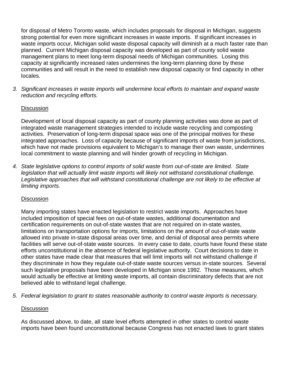for disposal of Metro Toronto waste, which includes proposals for disposal in Michigan, suggests strong potential for even more significant increases in waste imports. If significant increases in waste imports occur, Michigan solid waste disposal capacity will diminish at a much faster rate than planned. Current Michigan disposal capacity was developed as part of county solid waste management plans to meet long-term disposal needs of Michigan communities. Losing this capacity at significantly increased rates undermines the long-term planning done by these communities and will result in the need to establish new disposal capacity or find capacity in other locales.

*3. Significant increases in waste imports will undermine local efforts to maintain and expand waste reduction and recycling efforts.*

## **Discussion**

Development of local disposal capacity as part of county planning activities was done as part of integrated waste management strategies intended to include waste recycling and composting activities. Preservation of long-term disposal space was one of the principal motives for these integrated approaches. Loss of capacity because of significant imports of waste from jurisdictions, which have not made provisions equivalent to Michigan's to manage their own waste, undermines local commitment to waste planning and will hinder growth of recycling in Michigan.

*4. State legislative options to control imports of solid waste from out-of-state are limited. State legislation that will actually limit waste imports will likely not withstand constitutional challenge. Legislative approaches that will withstand constitutional challenge are not likely to be effective at limiting imports.*

# **Discussion**

Many importing states have enacted legislation to restrict waste imports. Approaches have included imposition of special fees on out-of-state wastes, additional documentation and certification requirements on out-of-state wastes that are not required on in-state wastes, limitations on transportation options for imports, limitations on the amount of out-of-state waste allowed into private in-state disposal areas over time, and denial of disposal area permits where facilities will serve out-of-state waste sources. In every case to date, courts have found these state efforts unconstitutional in the absence of federal legislative authority. Court decisions to date in other states have made clear that measures that will limit imports will not withstand challenge if they discriminate in how they regulate out-of-state waste sources versus in-state sources. Several such legislative proposals have been developed in Michigan since 1992. Those measures, which would actually be effective at limiting waste imports, all contain discriminatory defects that are not believed able to withstand legal challenge.

*5. Federal legislation to grant to states reasonable authority to control waste imports is necessary.*

## **Discussion**

As discussed above, to date, all state level efforts attempted in other states to control waste imports have been found unconstitutional because Congress has not enacted laws to grant states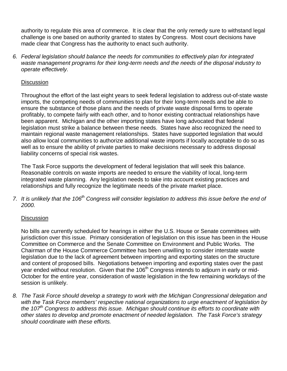authority to regulate this area of commerce. It is clear that the only remedy sure to withstand legal challenge is one based on authority granted to states by Congress. Most court decisions have made clear that Congress has the authority to enact such authority.

*6. Federal legislation should balance the needs for communities to effectively plan for integrated waste management programs for their long-term needs and the needs of the disposal industry to operate effectively.*

## **Discussion**

Throughout the effort of the last eight years to seek federal legislation to address out-of-state waste imports, the competing needs of communities to plan for their long-term needs and be able to ensure the substance of those plans and the needs of private waste disposal firms to operate profitably, to compete fairly with each other, and to honor existing contractual relationships have been apparent. Michigan and the other importing states have long advocated that federal legislation must strike a balance between these needs. States have also recognized the need to maintain regional waste management relationships. States have supported legislation that would also allow local communities to authorize additional waste imports if locally acceptable to do so as well as to ensure the ability of private parties to make decisions necessary to address disposal liability concerns of special risk wastes.

The Task Force supports the development of federal legislation that will seek this balance. Reasonable controls on waste imports are needed to ensure the viability of local, long-term integrated waste planning. Any legislation needs to take into account existing practices and relationships and fully recognize the legitimate needs of the private market place.

*7. It is unlikely that the 106th Congress will consider legislation to address this issue before the end of 2000.*

## Discussion

No bills are currently scheduled for hearings in either the U.S. House or Senate committees with jurisdiction over this issue. Primary consideration of legislation on this issue has been in the House Committee on Commerce and the Senate Committee on Environment and Public Works. The Chairman of the House Commerce Committee has been unwilling to consider interstate waste legislation due to the lack of agreement between importing and exporting states on the structure and content of proposed bills. Negotiations between importing and exporting states over the past year ended without resolution. Given that the 106<sup>th</sup> Congress intends to adjourn in early or mid-October for the entire year, consideration of waste legislation in the few remaining workdays of the session is unlikely.

*8. The Task Force should develop a strategy to work with the Michigan Congressional delegation and with the Task Force members' respective national organizations to urge enactment of legislation by the 107th Congress to address this issue. Michigan should continue its efforts to coordinate with other states to develop and promote enactment of needed legislation. The Task Force's strategy should coordinate with these efforts.*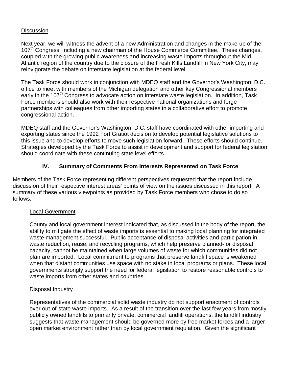### **Discussion**

Next year, we will witness the advent of a new Administration and changes in the make-up of the 107<sup>th</sup> Congress, including a new chairman of the House Commerce Committee. These changes, coupled with the growing public awareness and increasing waste imports throughout the Mid-Atlantic region of the country due to the closure of the Fresh Kills Landfill in New York City, may reinvigorate the debate on interstate legislation at the federal level.

The Task Force should work in conjunction with MDEQ staff and the Governor's Washington, D.C. office to meet with members of the Michigan delegation and other key Congressional members early in the 107<sup>th</sup> Congress to advocate action on interstate waste legislation. In addition, Task Force members should also work with their respective national organizations and forge partnerships with colleagues from other importing states in a collaborative effort to promote congressional action.

MDEQ staff and the Governor's Washington, D.C. staff have coordinated with other importing and exporting states since the 1992 Fort Gratiot decision to develop potential legislative solutions to this issue and to develop efforts to move such legislation forward. These efforts should continue. Strategies developed by the Task Force to assist in development and support for federal legislation should coordinate with these continuing state level efforts.

# **IV. Summary of Comments From Interests Represented on Task Force**

Members of the Task Force representing different perspectives requested that the report include discussion of their respective interest areas' points of view on the issues discussed in this report. A summary of these various viewpoints as provided by Task Force members who chose to do so follows.

#### Local Government

County and local government interest indicated that, as discussed in the body of the report, the ability to mitigate the effect of waste imports is essential to making local planning for integrated waste management successful. Public acceptance of disposal activities and participation in waste reduction, reuse, and recycling programs, which help preserve planned-for disposal capacity, cannot be maintained when large volumes of waste for which communities did not plan are imported. Local commitment to programs that preserve landfill space is weakened when that distant communities use space with no stake in local programs or plans. These local governments strongly support the need for federal legislation to restore reasonable controls to waste imports from other states and countries.

#### Disposal Industry

Representatives of the commercial solid waste industry do not support enactment of controls over out-of-state waste imports. As a result of the transition over the last few years from mostly publicly owned landfills to primarily private, commercial landfill operations, the landfill industry suggests that waste management should be governed more by free market forces and a larger open market environment rather than by local government regulation. Given the significant